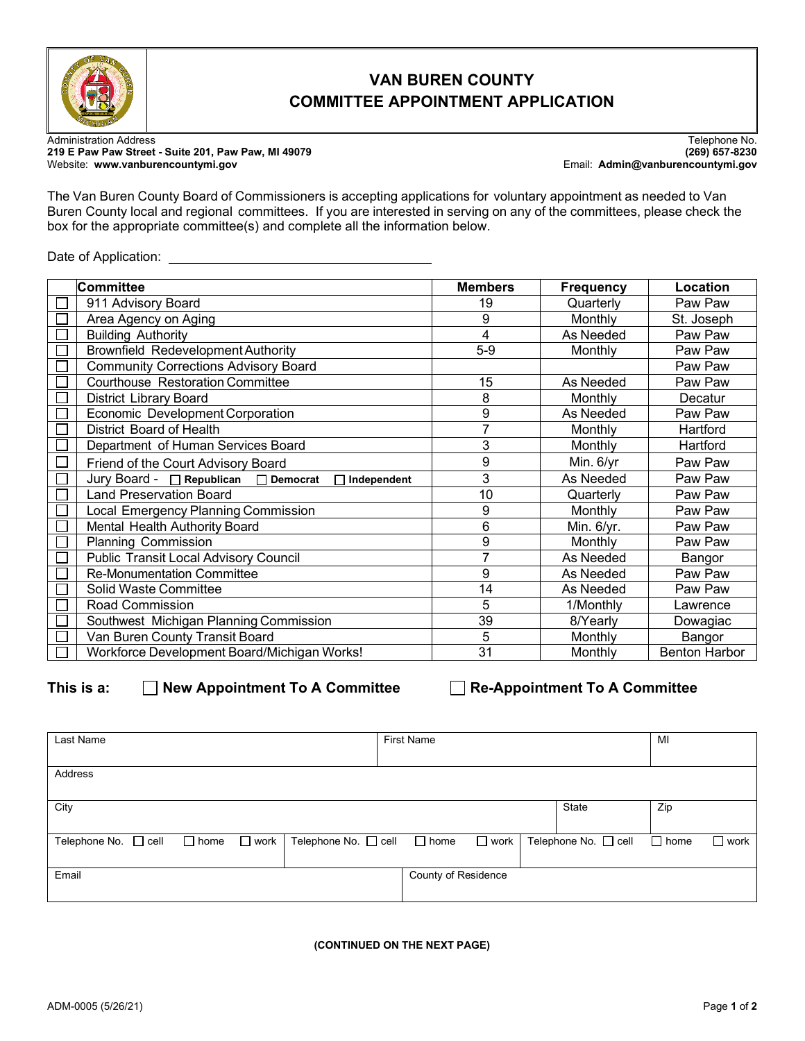

## **VAN BUREN COUNTY COMMITTEE APPOINTMENT APPLICATION**

Administration Address Telephone No. **219 E Paw Paw Street - Suite 201, Paw Paw, MI 49079 (269) 657-8230**

Website: **www.vanburencountymi.gov** Email: **Admin@vanburencountymi.gov**

The Van Buren County Board of Commissioners is accepting applications for voluntary appointment as needed to Van Buren County local and regional committees. If you are interested in serving on any of the committees, please check the box for the appropriate committee(s) and complete all the information below.

Date of Application:

| <b>Committee</b> |                                                          | <b>Members</b> | <b>Frequency</b> | Location             |  |
|------------------|----------------------------------------------------------|----------------|------------------|----------------------|--|
|                  | 911 Advisory Board                                       | 19             | Quarterly        | Paw Paw              |  |
|                  | Area Agency on Aging                                     | 9              | Monthly          | St. Joseph           |  |
|                  | <b>Building Authority</b>                                | 4              | As Needed        | Paw Paw              |  |
|                  | <b>Brownfield Redevelopment Authority</b>                | $5-9$          | Monthly          | Paw Paw              |  |
|                  | <b>Community Corrections Advisory Board</b>              |                |                  | Paw Paw              |  |
|                  | <b>Courthouse Restoration Committee</b>                  | 15             | As Needed        | Paw Paw              |  |
|                  | <b>District Library Board</b>                            | 8              | Monthly          | Decatur              |  |
|                  | Economic Development Corporation                         | 9              | As Needed        | Paw Paw              |  |
|                  | District Board of Health                                 | $\overline{7}$ | Monthly          | Hartford             |  |
|                  | Department of Human Services Board                       | 3              | Monthly          | Hartford             |  |
| $\Box$           | Friend of the Court Advisory Board                       | 9              | Min. 6/yr        | Paw Paw              |  |
|                  | Jury Board - □ Republican □ Democrat<br>Independent<br>П | 3              | As Needed        | Paw Paw              |  |
|                  | <b>Land Preservation Board</b>                           | 10             | Quarterly        | Paw Paw              |  |
|                  | Local Emergency Planning Commission                      | 9              | Monthly          | Paw Paw              |  |
|                  | Mental Health Authority Board                            | 6              | Min. 6/yr.       | Paw Paw              |  |
|                  | <b>Planning Commission</b>                               | $\overline{9}$ | Monthly          | Paw Paw              |  |
|                  | <b>Public Transit Local Advisory Council</b>             | 7              | As Needed        | Bangor               |  |
|                  | <b>Re-Monumentation Committee</b>                        | 9              | As Needed        | Paw Paw              |  |
|                  | Solid Waste Committee                                    | 14             | As Needed        | Paw Paw              |  |
|                  | Road Commission                                          | 5              | 1/Monthly        | Lawrence             |  |
|                  | Southwest Michigan Planning Commission                   | 39             | 8/Yearly         | Dowagiac             |  |
|                  | Van Buren County Transit Board                           | 5              | Monthly          | Bangor               |  |
|                  | Workforce Development Board/Michigan Works!              | 31             | Monthly          | <b>Benton Harbor</b> |  |

This is a: **New Appointment To A Committee Re-Appointment To A Committee** 

| Last Name            |             |             |                      | <b>First Name</b> |                     |             |                      | MI          |                |
|----------------------|-------------|-------------|----------------------|-------------------|---------------------|-------------|----------------------|-------------|----------------|
| Address              |             |             |                      |                   |                     |             |                      |             |                |
| City                 |             |             |                      |                   |                     |             | State                | Zip         |                |
| Telephone No. □ cell | $\Box$ home | $\Box$ work | Telephone No. □ cell |                   | $\Box$ home         | $\Box$ work | Telephone No. □ cell | $\Box$ home | $\square$ work |
| Email                |             |             |                      |                   | County of Residence |             |                      |             |                |